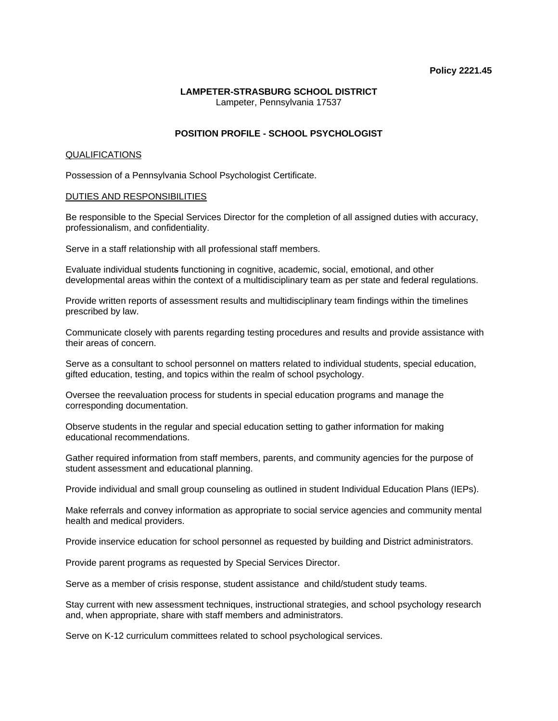### **LAMPETER-STRASBURG SCHOOL DISTRICT**  Lampeter, Pennsylvania 17537

## **POSITION PROFILE - SCHOOL PSYCHOLOGIST**

### QUALIFICATIONS

Possession of a Pennsylvania School Psychologist Certificate.

### DUTIES AND RESPONSIBILITIES

Be responsible to the Special Services Director for the completion of all assigned duties with accuracy, professionalism, and confidentiality.

Serve in a staff relationship with all professional staff members.

Evaluate individual students functioning in cognitive, academic, social, emotional, and other developmental areas within the context of a multidisciplinary team as per state and federal regulations.

Provide written reports of assessment results and multidisciplinary team findings within the timelines prescribed by law.

Communicate closely with parents regarding testing procedures and results and provide assistance with their areas of concern.

Serve as a consultant to school personnel on matters related to individual students, special education, gifted education, testing, and topics within the realm of school psychology.

Oversee the reevaluation process for students in special education programs and manage the corresponding documentation.

Observe students in the regular and special education setting to gather information for making educational recommendations.

Gather required information from staff members, parents, and community agencies for the purpose of student assessment and educational planning.

Provide individual and small group counseling as outlined in student Individual Education Plans (IEPs).

Make referrals and convey information as appropriate to social service agencies and community mental health and medical providers.

Provide inservice education for school personnel as requested by building and District administrators.

Provide parent programs as requested by Special Services Director.

Serve as a member of crisis response, student assistance and child/student study teams.

Stay current with new assessment techniques, instructional strategies, and school psychology research and, when appropriate, share with staff members and administrators.

Serve on K-12 curriculum committees related to school psychological services.